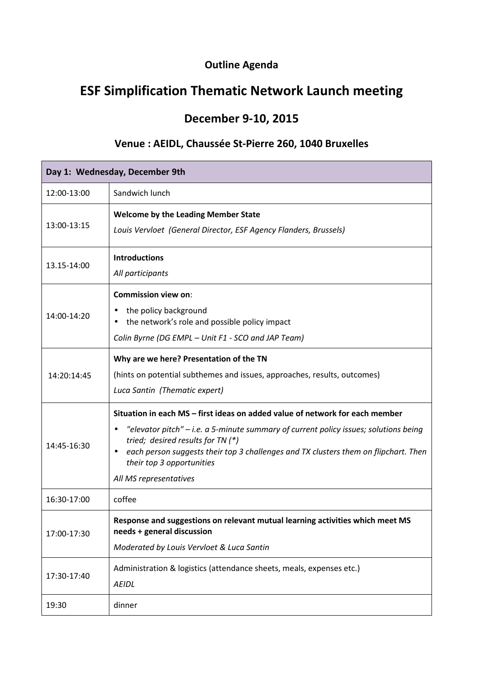## **Outline Agenda**

## **ESF Simplification Thematic Network Launch meeting**

## **December 9-10, 2015**

## **Venue : AEIDL, Chaussée St-Pierre 260, 1040 Bruxelles**

| Day 1: Wednesday, December 9th |                                                                                                                                                                                                                                                                                                                                                                      |  |
|--------------------------------|----------------------------------------------------------------------------------------------------------------------------------------------------------------------------------------------------------------------------------------------------------------------------------------------------------------------------------------------------------------------|--|
| 12:00-13:00                    | Sandwich lunch                                                                                                                                                                                                                                                                                                                                                       |  |
| 13:00-13:15                    | <b>Welcome by the Leading Member State</b><br>Louis Vervloet (General Director, ESF Agency Flanders, Brussels)                                                                                                                                                                                                                                                       |  |
| 13.15-14:00                    | <b>Introductions</b><br>All participants                                                                                                                                                                                                                                                                                                                             |  |
| 14:00-14:20                    | <b>Commission view on:</b><br>the policy background<br>٠<br>the network's role and possible policy impact<br>Colin Byrne (DG EMPL - Unit F1 - SCO and JAP Team)                                                                                                                                                                                                      |  |
| 14:20:14:45                    | Why are we here? Presentation of the TN<br>(hints on potential subthemes and issues, approaches, results, outcomes)<br>Luca Santin (Thematic expert)                                                                                                                                                                                                                 |  |
| 14:45-16:30                    | Situation in each MS - first ideas on added value of network for each member<br>"elevator pitch" - i.e. a 5-minute summary of current policy issues; solutions being<br>tried; desired results for TN (*)<br>each person suggests their top 3 challenges and TX clusters them on flipchart. Then<br>$\bullet$<br>their top 3 opportunities<br>All MS representatives |  |
| 16:30-17:00                    | coffee                                                                                                                                                                                                                                                                                                                                                               |  |
| 17:00-17:30                    | Response and suggestions on relevant mutual learning activities which meet MS<br>needs + general discussion<br>Moderated by Louis Vervloet & Luca Santin                                                                                                                                                                                                             |  |
| 17:30-17:40                    | Administration & logistics (attendance sheets, meals, expenses etc.)<br><b>AEIDL</b>                                                                                                                                                                                                                                                                                 |  |
| 19:30                          | dinner                                                                                                                                                                                                                                                                                                                                                               |  |